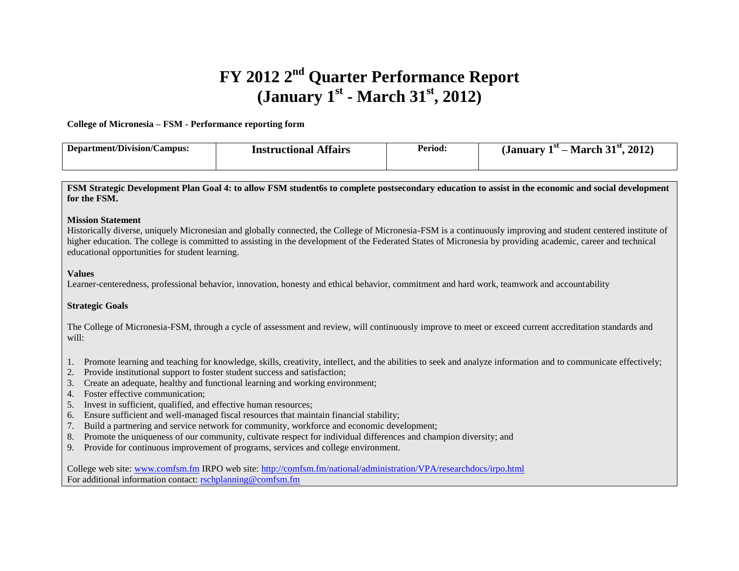# **FY 2012 2nd Quarter Performance Report (January 1st - March 31st, 2012)**

#### **College of Micronesia – FSM - Performance reporting form**

| Department/Division/Campus: | <b>Affairs</b><br>Instructional | Period: | 2012<br>21st<br>'NU.<br>March<br><b>lanuary</b><br>_ |
|-----------------------------|---------------------------------|---------|------------------------------------------------------|
|                             |                                 |         |                                                      |

**FSM Strategic Development Plan Goal 4: to allow FSM student6s to complete postsecondary education to assist in the economic and social development for the FSM.**

#### **Mission Statement**

Historically diverse, uniquely Micronesian and globally connected, the College of Micronesia-FSM is a continuously improving and student centered institute of higher education. The college is committed to assisting in the development of the Federated States of Micronesia by providing academic, career and technical educational opportunities for student learning.

#### **Values**

Learner-centeredness, professional behavior, innovation, honesty and ethical behavior, commitment and hard work, teamwork and accountability

#### **Strategic Goals**

The College of Micronesia-FSM, through a cycle of assessment and review, will continuously improve to meet or exceed current accreditation standards and will:

- 1. Promote learning and teaching for knowledge, skills, creativity, intellect, and the abilities to seek and analyze information and to communicate effectively;
- 2. Provide institutional support to foster student success and satisfaction;
- 3. Create an adequate, healthy and functional learning and working environment;
- 4. Foster effective communication;
- 5. Invest in sufficient, qualified, and effective human resources;
- 6. Ensure sufficient and well-managed fiscal resources that maintain financial stability;
- 7. Build a partnering and service network for community, workforce and economic development;
- 8. Promote the uniqueness of our community, cultivate respect for individual differences and champion diversity; and
- 9. Provide for continuous improvement of programs, services and college environment.

College web site: [www.comfsm.fm](http://www.comfsm.fm/) IRPO web site:<http://comfsm.fm/national/administration/VPA/researchdocs/irpo.html> For additional information contact[: rschplanning@comfsm.fm](mailto:rschplanning@comfsm.fm)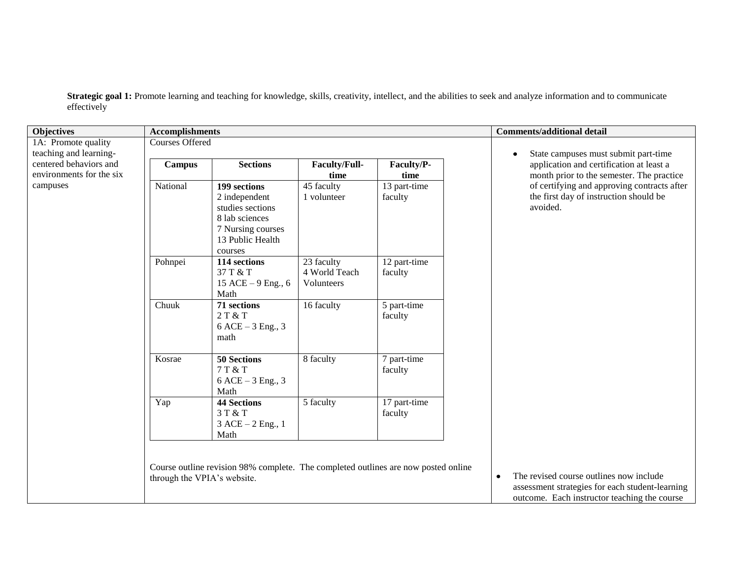**Strategic goal 1:** Promote learning and teaching for knowledge, skills, creativity, intellect, and the abilities to seek and analyze information and to communicate effectively

| <b>Objectives</b>        | <b>Accomplishments</b>      |                                                                                                              |                                           |                                                                                    | <b>Comments/additional detail</b>                                                                                                                       |
|--------------------------|-----------------------------|--------------------------------------------------------------------------------------------------------------|-------------------------------------------|------------------------------------------------------------------------------------|---------------------------------------------------------------------------------------------------------------------------------------------------------|
| 1A: Promote quality      | <b>Courses Offered</b>      |                                                                                                              |                                           |                                                                                    |                                                                                                                                                         |
| teaching and learning-   |                             |                                                                                                              |                                           |                                                                                    | State campuses must submit part-time                                                                                                                    |
| centered behaviors and   | <b>Campus</b>               | <b>Sections</b>                                                                                              | <b>Faculty/Full-</b>                      | Faculty/P-                                                                         | application and certification at least a                                                                                                                |
| environments for the six |                             |                                                                                                              | time                                      | time                                                                               | month prior to the semester. The practice                                                                                                               |
| campuses                 | National                    | 199 sections<br>2 independent<br>studies sections<br>8 lab sciences<br>7 Nursing courses<br>13 Public Health | 45 faculty<br>1 volunteer                 | 13 part-time<br>faculty                                                            | of certifying and approving contracts after<br>the first day of instruction should be<br>avoided.                                                       |
|                          | Pohnpei                     | courses<br>114 sections<br>37 T & T<br>15 ACE - 9 Eng., 6<br>Math                                            | 23 faculty<br>4 World Teach<br>Volunteers | 12 part-time<br>faculty                                                            |                                                                                                                                                         |
|                          | Chuuk                       | 71 sections<br>2 T & T<br>$6$ ACE $-3$ Eng., 3<br>math                                                       | 16 faculty                                | 5 part-time<br>faculty                                                             |                                                                                                                                                         |
|                          | Kosrae                      | 50 Sections<br>7 T & T<br>$6$ ACE $-3$ Eng., 3<br>Math                                                       | 8 faculty                                 | 7 part-time<br>faculty                                                             |                                                                                                                                                         |
|                          | Yap                         | 44 Sections<br>3 T & T<br>$3$ ACE $-2$ Eng., 1<br>Math                                                       | 5 faculty                                 | 17 part-time<br>faculty                                                            |                                                                                                                                                         |
|                          | through the VPIA's website. |                                                                                                              |                                           | Course outline revision 98% complete. The completed outlines are now posted online | The revised course outlines now include<br>$\bullet$<br>assessment strategies for each student-learning<br>outcome. Each instructor teaching the course |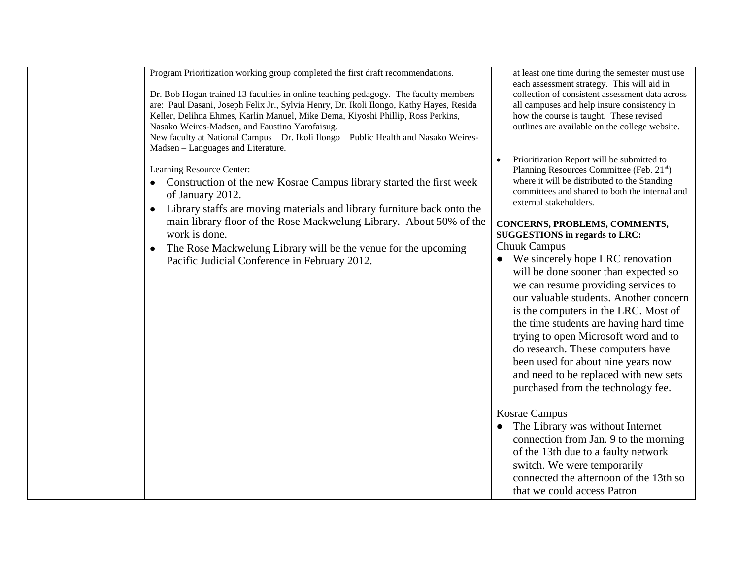| Program Prioritization working group completed the first draft recommendations.<br>Dr. Bob Hogan trained 13 faculties in online teaching pedagogy. The faculty members<br>are: Paul Dasani, Joseph Felix Jr., Sylvia Henry, Dr. Ikoli Ilongo, Kathy Hayes, Resida<br>Keller, Delihna Ehmes, Karlin Manuel, Mike Dema, Kiyoshi Phillip, Ross Perkins,<br>Nasako Weires-Madsen, and Faustino Yarofaisug.<br>New faculty at National Campus - Dr. Ikoli Ilongo - Public Health and Nasako Weires-<br>Madsen - Languages and Literature. | at least one time during the semester must use<br>each assessment strategy. This will aid in<br>collection of consistent assessment data across<br>all campuses and help insure consistency in<br>how the course is taught. These revised<br>outlines are available on the college website.<br>Prioritization Report will be submitted to                                                                                                                  |
|--------------------------------------------------------------------------------------------------------------------------------------------------------------------------------------------------------------------------------------------------------------------------------------------------------------------------------------------------------------------------------------------------------------------------------------------------------------------------------------------------------------------------------------|------------------------------------------------------------------------------------------------------------------------------------------------------------------------------------------------------------------------------------------------------------------------------------------------------------------------------------------------------------------------------------------------------------------------------------------------------------|
| Learning Resource Center:<br>• Construction of the new Kosrae Campus library started the first week<br>of January 2012.<br>Library staffs are moving materials and library furniture back onto the<br>$\bullet$                                                                                                                                                                                                                                                                                                                      | Planning Resources Committee (Feb. 21 <sup>st</sup> )<br>where it will be distributed to the Standing<br>committees and shared to both the internal and<br>external stakeholders.                                                                                                                                                                                                                                                                          |
| main library floor of the Rose Mackwelung Library. About 50% of the<br>work is done.                                                                                                                                                                                                                                                                                                                                                                                                                                                 | CONCERNS, PROBLEMS, COMMENTS,<br><b>SUGGESTIONS</b> in regards to LRC:                                                                                                                                                                                                                                                                                                                                                                                     |
| The Rose Mackwelung Library will be the venue for the upcoming<br>$\bullet$                                                                                                                                                                                                                                                                                                                                                                                                                                                          | <b>Chuuk Campus</b>                                                                                                                                                                                                                                                                                                                                                                                                                                        |
| Pacific Judicial Conference in February 2012.                                                                                                                                                                                                                                                                                                                                                                                                                                                                                        | We sincerely hope LRC renovation<br>$\bullet$<br>will be done sooner than expected so<br>we can resume providing services to<br>our valuable students. Another concern<br>is the computers in the LRC. Most of<br>the time students are having hard time<br>trying to open Microsoft word and to<br>do research. These computers have<br>been used for about nine years now<br>and need to be replaced with new sets<br>purchased from the technology fee. |
|                                                                                                                                                                                                                                                                                                                                                                                                                                                                                                                                      | Kosrae Campus<br>The Library was without Internet<br>connection from Jan. 9 to the morning<br>of the 13th due to a faulty network<br>switch. We were temporarily<br>connected the afternoon of the 13th so<br>that we could access Patron                                                                                                                                                                                                                  |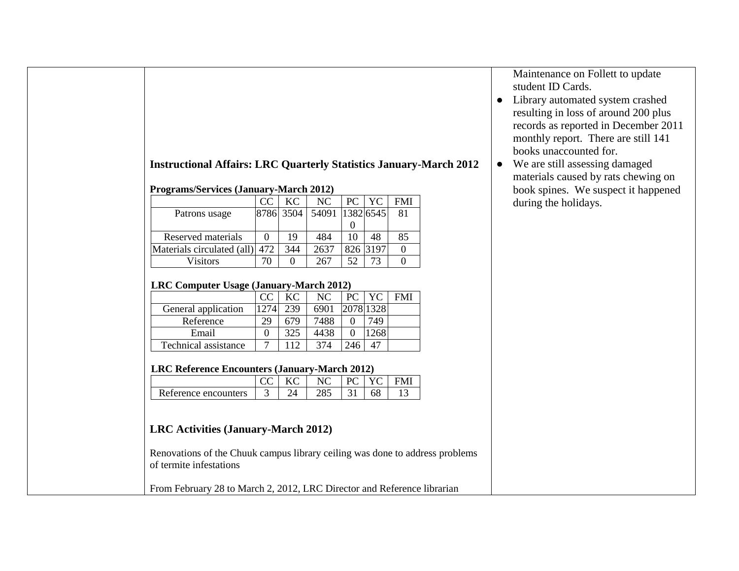# **Instructional Affairs: LRC Quarterly Statistics January-March 2012**

### **Programs/Services (January-March 2012)**

|                            | CC  | KС        | NC.             | PC. | YC   | FMI |
|----------------------------|-----|-----------|-----------------|-----|------|-----|
| Patrons usage              |     | 8786 3504 | 54091 1382 6545 |     |      | 81  |
|                            |     |           |                 |     |      |     |
| Reserved materials         |     | 19        | 484             |     | 48   | 85  |
| Materials circulated (all) | 472 | 344       | 2637            | 826 | 3197 |     |
| Visitors                   | 70  |           | 267             | 52  | フス   |     |

#### **LRC Computer Usage (January-March 2012)**

|                      | CC   | KC  | NC.  | PC | $\overline{Y}C$ | FMI |
|----------------------|------|-----|------|----|-----------------|-----|
| General application  | 1274 | 239 | 6901 |    | 2078 1328       |     |
| Reference            | 29   | 679 | 7488 |    | 749.            |     |
| Email                |      | 325 | 4438 |    | 268             |     |
| Technical assistance |      |     | 374  |    |                 |     |

## **LRC Reference Encounters (January-March 2012)**

|                      |   |     | NC  |  | <b>FMI</b> |
|----------------------|---|-----|-----|--|------------|
| Reference encounters | - | ⁄ ⊥ | 285 |  |            |

# **LRC Activities (January-March 2012)**

Renovations of the Chuuk campus library ceiling was done to address problems of termite infestations

From February 28 to March 2, 2012, LRC Director and Reference librarian

Maintenance on Follett to update student ID Cards.

- Library automated system crashed resulting in loss of around 200 plus records as reported in December 2011 monthly report. There are still 141 books unaccounted for.
- We are still assessing damaged materials caused by rats chewing on book spines. We suspect it happened during the holidays.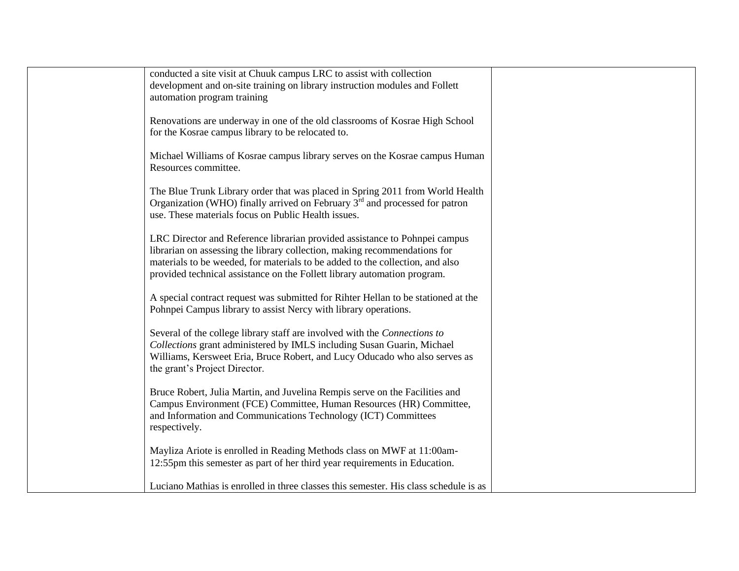| conducted a site visit at Chuuk campus LRC to assist with collection<br>development and on-site training on library instruction modules and Follett<br>automation program training                                                                                                                                   |
|----------------------------------------------------------------------------------------------------------------------------------------------------------------------------------------------------------------------------------------------------------------------------------------------------------------------|
| Renovations are underway in one of the old classrooms of Kosrae High School<br>for the Kosrae campus library to be relocated to.                                                                                                                                                                                     |
| Michael Williams of Kosrae campus library serves on the Kosrae campus Human<br>Resources committee.                                                                                                                                                                                                                  |
| The Blue Trunk Library order that was placed in Spring 2011 from World Health<br>Organization (WHO) finally arrived on February $3rd$ and processed for patron<br>use. These materials focus on Public Health issues.                                                                                                |
| LRC Director and Reference librarian provided assistance to Pohnpei campus<br>librarian on assessing the library collection, making recommendations for<br>materials to be weeded, for materials to be added to the collection, and also<br>provided technical assistance on the Follett library automation program. |
| A special contract request was submitted for Rihter Hellan to be stationed at the<br>Pohnpei Campus library to assist Nercy with library operations.                                                                                                                                                                 |
| Several of the college library staff are involved with the Connections to<br>Collections grant administered by IMLS including Susan Guarin, Michael<br>Williams, Kersweet Eria, Bruce Robert, and Lucy Oducado who also serves as<br>the grant's Project Director.                                                   |
| Bruce Robert, Julia Martin, and Juvelina Rempis serve on the Facilities and<br>Campus Environment (FCE) Committee, Human Resources (HR) Committee,<br>and Information and Communications Technology (ICT) Committees<br>respectively.                                                                                |
| Mayliza Ariote is enrolled in Reading Methods class on MWF at 11:00am-<br>12:55pm this semester as part of her third year requirements in Education.                                                                                                                                                                 |
| Luciano Mathias is enrolled in three classes this semester. His class schedule is as                                                                                                                                                                                                                                 |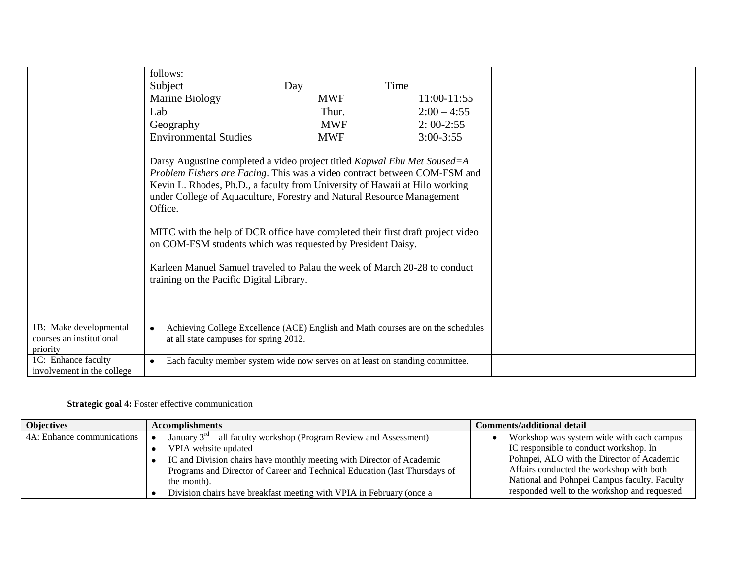|                                                                | follows:                                                                                                                                                                                                                                                                                                                                                                                                                                                                                                                                                                                              |            |                                                                                  |  |
|----------------------------------------------------------------|-------------------------------------------------------------------------------------------------------------------------------------------------------------------------------------------------------------------------------------------------------------------------------------------------------------------------------------------------------------------------------------------------------------------------------------------------------------------------------------------------------------------------------------------------------------------------------------------------------|------------|----------------------------------------------------------------------------------|--|
|                                                                | <b>Subject</b>                                                                                                                                                                                                                                                                                                                                                                                                                                                                                                                                                                                        | Day        | <b>Time</b>                                                                      |  |
|                                                                | Marine Biology                                                                                                                                                                                                                                                                                                                                                                                                                                                                                                                                                                                        | <b>MWF</b> | 11:00-11:55                                                                      |  |
|                                                                | Lab                                                                                                                                                                                                                                                                                                                                                                                                                                                                                                                                                                                                   | Thur.      | $2:00 - 4:55$                                                                    |  |
|                                                                | Geography                                                                                                                                                                                                                                                                                                                                                                                                                                                                                                                                                                                             | <b>MWF</b> | $2:00-2:55$                                                                      |  |
|                                                                | <b>Environmental Studies</b>                                                                                                                                                                                                                                                                                                                                                                                                                                                                                                                                                                          | <b>MWF</b> | $3:00-3:55$                                                                      |  |
|                                                                | Darsy Augustine completed a video project titled Kapwal Ehu Met Soused=A<br>Problem Fishers are Facing. This was a video contract between COM-FSM and<br>Kevin L. Rhodes, Ph.D., a faculty from University of Hawaii at Hilo working<br>under College of Aquaculture, Forestry and Natural Resource Management<br>Office.<br>MITC with the help of DCR office have completed their first draft project video<br>on COM-FSM students which was requested by President Daisy.<br>Karleen Manuel Samuel traveled to Palau the week of March 20-28 to conduct<br>training on the Pacific Digital Library. |            |                                                                                  |  |
| 1B: Make developmental<br>courses an institutional<br>priority | at all state campuses for spring 2012.                                                                                                                                                                                                                                                                                                                                                                                                                                                                                                                                                                |            | Achieving College Excellence (ACE) English and Math courses are on the schedules |  |
| 1C: Enhance faculty<br>involvement in the college              | Each faculty member system wide now serves on at least on standing committee.                                                                                                                                                                                                                                                                                                                                                                                                                                                                                                                         |            |                                                                                  |  |

## **Strategic goal 4:** Foster effective communication

| <b>Objectives</b>          | <b>Accomplishments</b>                                                     | Comments/additional detail                   |
|----------------------------|----------------------------------------------------------------------------|----------------------------------------------|
| 4A: Enhance communications | January $3^{rd}$ – all faculty workshop (Program Review and Assessment)    | Workshop was system wide with each campus    |
|                            | VPIA website updated                                                       | IC responsible to conduct workshop. In       |
|                            | IC and Division chairs have monthly meeting with Director of Academic      | Pohnpei, ALO with the Director of Academic   |
|                            | Programs and Director of Career and Technical Education (last Thursdays of | Affairs conducted the workshop with both     |
|                            | the month).                                                                | National and Pohnpei Campus faculty. Faculty |
|                            | Division chairs have breakfast meeting with VPIA in February (once a       | responded well to the workshop and requested |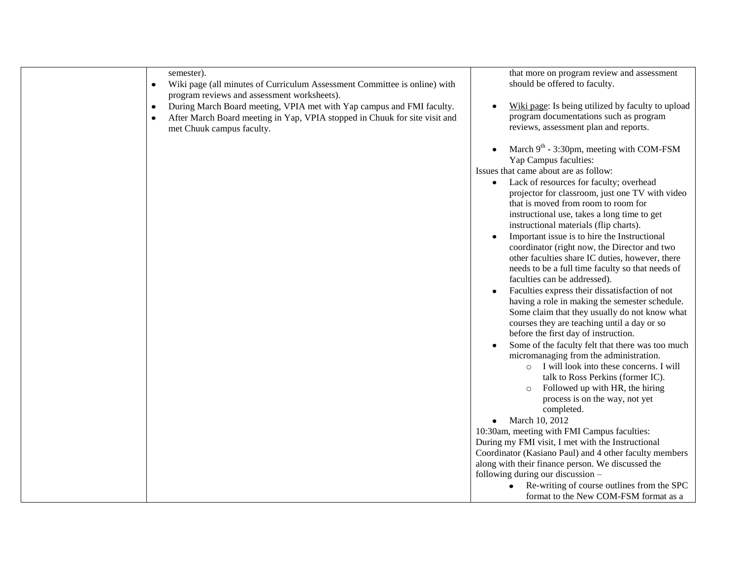|           | semester).                                                                                                               | that more on program review and assessment<br>should be offered to faculty.                                 |
|-----------|--------------------------------------------------------------------------------------------------------------------------|-------------------------------------------------------------------------------------------------------------|
| $\bullet$ | Wiki page (all minutes of Curriculum Assessment Committee is online) with<br>program reviews and assessment worksheets). |                                                                                                             |
|           | During March Board meeting, VPIA met with Yap campus and FMI faculty.                                                    | Wiki page: Is being utilized by faculty to upload                                                           |
| $\bullet$ |                                                                                                                          | program documentations such as program                                                                      |
| $\bullet$ | After March Board meeting in Yap, VPIA stopped in Chuuk for site visit and                                               | reviews, assessment plan and reports.                                                                       |
|           | met Chuuk campus faculty.                                                                                                |                                                                                                             |
|           |                                                                                                                          | March $9th$ - 3:30pm, meeting with COM-FSM                                                                  |
|           |                                                                                                                          | Yap Campus faculties:                                                                                       |
|           |                                                                                                                          | Issues that came about are as follow:                                                                       |
|           |                                                                                                                          | Lack of resources for faculty; overhead                                                                     |
|           |                                                                                                                          | projector for classroom, just one TV with video                                                             |
|           |                                                                                                                          | that is moved from room to room for                                                                         |
|           |                                                                                                                          | instructional use, takes a long time to get                                                                 |
|           |                                                                                                                          | instructional materials (flip charts).                                                                      |
|           |                                                                                                                          | Important issue is to hire the Instructional                                                                |
|           |                                                                                                                          | coordinator (right now, the Director and two                                                                |
|           |                                                                                                                          | other faculties share IC duties, however, there                                                             |
|           |                                                                                                                          | needs to be a full time faculty so that needs of                                                            |
|           |                                                                                                                          | faculties can be addressed).                                                                                |
|           |                                                                                                                          | Faculties express their dissatisfaction of not                                                              |
|           |                                                                                                                          | having a role in making the semester schedule.                                                              |
|           |                                                                                                                          | Some claim that they usually do not know what                                                               |
|           |                                                                                                                          | courses they are teaching until a day or so                                                                 |
|           |                                                                                                                          | before the first day of instruction.                                                                        |
|           |                                                                                                                          | Some of the faculty felt that there was too much                                                            |
|           |                                                                                                                          | micromanaging from the administration.                                                                      |
|           |                                                                                                                          | I will look into these concerns. I will<br>$\circ$                                                          |
|           |                                                                                                                          | talk to Ross Perkins (former IC).                                                                           |
|           |                                                                                                                          | Followed up with HR, the hiring                                                                             |
|           |                                                                                                                          | process is on the way, not yet                                                                              |
|           |                                                                                                                          | completed.                                                                                                  |
|           |                                                                                                                          | • March 10, 2012                                                                                            |
|           |                                                                                                                          | 10:30am, meeting with FMI Campus faculties:                                                                 |
|           |                                                                                                                          | During my FMI visit, I met with the Instructional                                                           |
|           |                                                                                                                          | Coordinator (Kasiano Paul) and 4 other faculty members<br>along with their finance person. We discussed the |
|           |                                                                                                                          | following during our discussion -                                                                           |
|           |                                                                                                                          | Re-writing of course outlines from the SPC                                                                  |
|           |                                                                                                                          | format to the New COM-FSM format as a                                                                       |
|           |                                                                                                                          |                                                                                                             |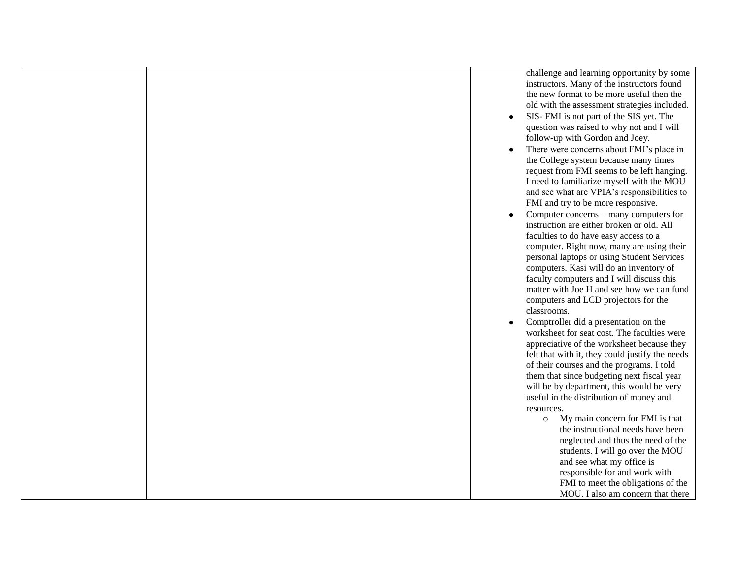challenge and learning opportunity by some instructors. Many of the instructors found the new format to be more useful then the old with the assessment strategies included.

- SIS- FMI is not part of the SIS yet. The  $\bullet$ question was raised to why not and I will follow-up with Gordon and Joey.
- There were concerns about FMI's place in  $\bullet$ the College system because many times request from FMI seems to be left hanging. I need to familiarize myself with the MOU and see what are VPIA's responsibilities to FMI and try to be more responsive.
- Computer concerns many computers for  $\bullet$ instruction are either broken or old. All faculties to do have easy access to a computer. Right now, many are using their personal laptops or using Student Services computers. Kasi will do an inventory of faculty computers and I will discuss this matter with Joe H and see how we can fund computers and LCD projectors for the classrooms.
- Comptroller did a presentation on the  $\bullet$ worksheet for seat cost. The faculties were appreciative of the worksheet because they felt that with it, they could justify the needs of their courses and the programs. I told them that since budgeting next fiscal year will be by department, this would be very useful in the distribution of money and resources.
	- o My main concern for FMI is that the instructional needs have been neglected and thus the need of the students. I will go over the MOU and see what my office is responsible for and work with FMI to meet the obligations of the MOU. I also am concern that there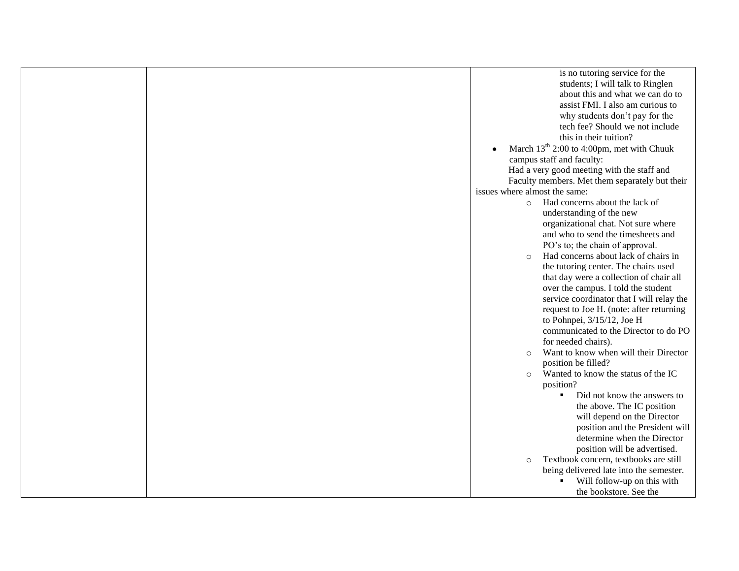|  |                               | is no tutoring service for the                        |
|--|-------------------------------|-------------------------------------------------------|
|  |                               | students; I will talk to Ringlen                      |
|  |                               | about this and what we can do to                      |
|  |                               | assist FMI. I also am curious to                      |
|  |                               | why students don't pay for the                        |
|  |                               | tech fee? Should we not include                       |
|  |                               | this in their tuition?                                |
|  |                               | March 13 <sup>th</sup> 2:00 to 4:00pm, met with Chuuk |
|  |                               | campus staff and faculty:                             |
|  |                               | Had a very good meeting with the staff and            |
|  |                               | Faculty members. Met them separately but their        |
|  | issues where almost the same: |                                                       |
|  |                               | o Had concerns about the lack of                      |
|  |                               | understanding of the new                              |
|  |                               | organizational chat. Not sure where                   |
|  |                               | and who to send the timesheets and                    |
|  |                               | PO's to; the chain of approval.                       |
|  | $\circ$                       | Had concerns about lack of chairs in                  |
|  |                               | the tutoring center. The chairs used                  |
|  |                               | that day were a collection of chair all               |
|  |                               | over the campus. I told the student                   |
|  |                               | service coordinator that I will relay the             |
|  |                               | request to Joe H. (note: after returning              |
|  |                               | to Pohnpei, 3/15/12, Joe H                            |
|  |                               | communicated to the Director to do PO                 |
|  |                               | for needed chairs).                                   |
|  | $\Omega$                      | Want to know when will their Director                 |
|  |                               | position be filled?                                   |
|  | $\circ$                       | Wanted to know the status of the IC                   |
|  |                               | position?                                             |
|  |                               | Did not know the answers to                           |
|  |                               | the above. The IC position                            |
|  |                               | will depend on the Director                           |
|  |                               | position and the President will                       |
|  |                               | determine when the Director                           |
|  |                               | position will be advertised.                          |
|  | $\circ$                       | Textbook concern, textbooks are still                 |
|  |                               | being delivered late into the semester.               |
|  |                               | Will follow-up on this with                           |
|  |                               | the bookstore. See the                                |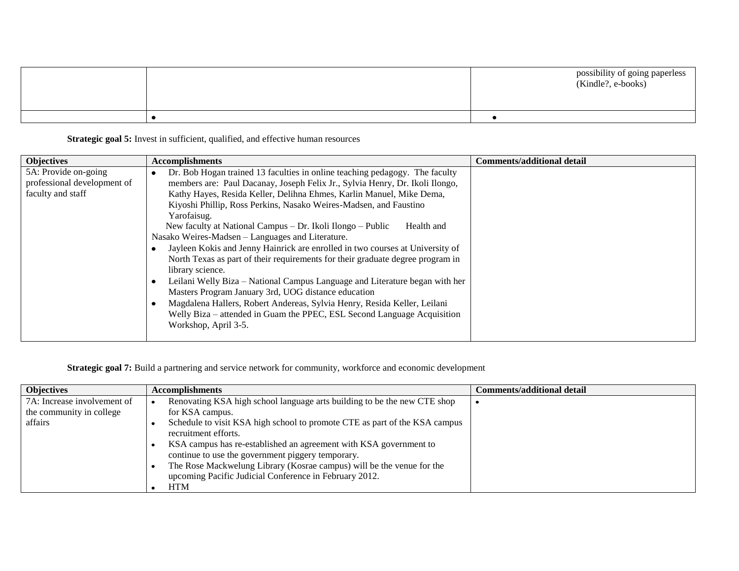|  | possibility of going paperless<br>(Kindle?, e-books) |
|--|------------------------------------------------------|
|  |                                                      |

**Strategic goal 5:** Invest in sufficient, qualified, and effective human resources

| <b>Objectives</b>                                                        | <b>Accomplishments</b>                                                                                                                                                                                                                                                                                                                                                                                                                                                                                                                                                                                                                                                                                                                                                                                                                                                                                                                                              | <b>Comments/additional detail</b> |
|--------------------------------------------------------------------------|---------------------------------------------------------------------------------------------------------------------------------------------------------------------------------------------------------------------------------------------------------------------------------------------------------------------------------------------------------------------------------------------------------------------------------------------------------------------------------------------------------------------------------------------------------------------------------------------------------------------------------------------------------------------------------------------------------------------------------------------------------------------------------------------------------------------------------------------------------------------------------------------------------------------------------------------------------------------|-----------------------------------|
| 5A: Provide on-going<br>professional development of<br>faculty and staff | Dr. Bob Hogan trained 13 faculties in online teaching pedagogy. The faculty<br>members are: Paul Dacanay, Joseph Felix Jr., Sylvia Henry, Dr. Ikoli Ilongo,<br>Kathy Hayes, Resida Keller, Delihna Ehmes, Karlin Manuel, Mike Dema,<br>Kiyoshi Phillip, Ross Perkins, Nasako Weires-Madsen, and Faustino<br>Yarofaisug.<br>New faculty at National Campus – Dr. Ikoli Ilongo – Public<br>Health and<br>Nasako Weires-Madsen – Languages and Literature.<br>Jayleen Kokis and Jenny Hainrick are enrolled in two courses at University of<br>North Texas as part of their requirements for their graduate degree program in<br>library science.<br>Leilani Welly Biza – National Campus Language and Literature began with her<br>Masters Program January 3rd, UOG distance education<br>Magdalena Hallers, Robert Andereas, Sylvia Henry, Resida Keller, Leilani<br>Welly Biza – attended in Guam the PPEC, ESL Second Language Acquisition<br>Workshop, April 3-5. |                                   |

**Strategic goal 7:** Build a partnering and service network for community, workforce and economic development

| <b>Objectives</b>           | <b>Accomplishments</b>                                                     | Comments/additional detail |
|-----------------------------|----------------------------------------------------------------------------|----------------------------|
| 7A: Increase involvement of | Renovating KSA high school language arts building to be the new CTE shop   |                            |
| the community in college    | for KSA campus.                                                            |                            |
| affairs                     | Schedule to visit KSA high school to promote CTE as part of the KSA campus |                            |
|                             | recruitment efforts.                                                       |                            |
|                             | KSA campus has re-established an agreement with KSA government to          |                            |
|                             | continue to use the government piggery temporary.                          |                            |
|                             | The Rose Mackwelung Library (Kosrae campus) will be the venue for the      |                            |
|                             | upcoming Pacific Judicial Conference in February 2012.                     |                            |
|                             | HTM                                                                        |                            |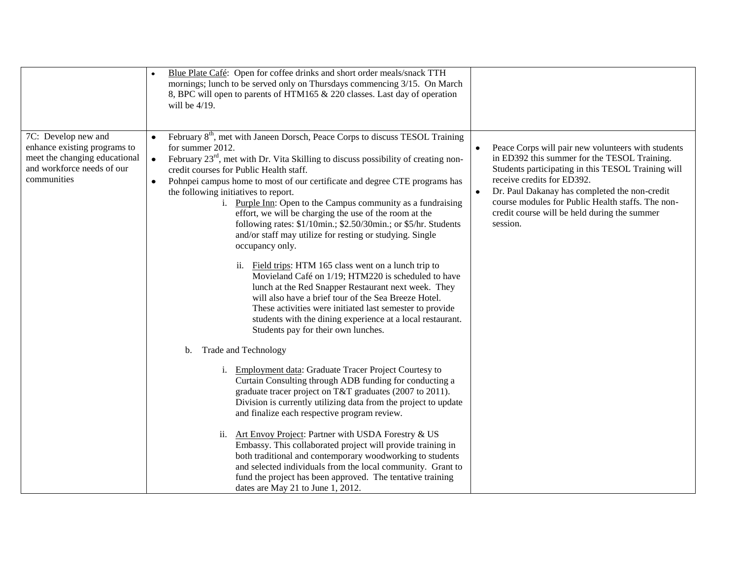|                                                                                                                                   | Blue Plate Café: Open for coffee drinks and short order meals/snack TTH<br>mornings; lunch to be served only on Thursdays commencing 3/15. On March<br>8, BPC will open to parents of HTM165 & 220 classes. Last day of operation<br>will be $4/19$ .                                                                                                                                                                                                                                                                                                                                                                                                                                                                                                                                                                                                                                                                                                                                                                                                                                                                                                                                                                                                                                                                                                                                                                                                                                                                                                                                                                                                                                                                                                                                   |                                                                                                                                                                                                                                                                                                                                                                                    |
|-----------------------------------------------------------------------------------------------------------------------------------|-----------------------------------------------------------------------------------------------------------------------------------------------------------------------------------------------------------------------------------------------------------------------------------------------------------------------------------------------------------------------------------------------------------------------------------------------------------------------------------------------------------------------------------------------------------------------------------------------------------------------------------------------------------------------------------------------------------------------------------------------------------------------------------------------------------------------------------------------------------------------------------------------------------------------------------------------------------------------------------------------------------------------------------------------------------------------------------------------------------------------------------------------------------------------------------------------------------------------------------------------------------------------------------------------------------------------------------------------------------------------------------------------------------------------------------------------------------------------------------------------------------------------------------------------------------------------------------------------------------------------------------------------------------------------------------------------------------------------------------------------------------------------------------------|------------------------------------------------------------------------------------------------------------------------------------------------------------------------------------------------------------------------------------------------------------------------------------------------------------------------------------------------------------------------------------|
| 7C: Develop new and<br>enhance existing programs to<br>meet the changing educational<br>and workforce needs of our<br>communities | February 8 <sup>th</sup> , met with Janeen Dorsch, Peace Corps to discuss TESOL Training<br>for summer 2012.<br>February $23^{rd}$ , met with Dr. Vita Skilling to discuss possibility of creating non-<br>$\bullet$<br>credit courses for Public Health staff.<br>Pohnpei campus home to most of our certificate and degree CTE programs has<br>$\bullet$<br>the following initiatives to report.<br>i. Purple Inn: Open to the Campus community as a fundraising<br>effort, we will be charging the use of the room at the<br>following rates: \$1/10min.; \$2.50/30min.; or \$5/hr. Students<br>and/or staff may utilize for resting or studying. Single<br>occupancy only.<br>ii. Field trips: HTM 165 class went on a lunch trip to<br>Movieland Café on 1/19; HTM220 is scheduled to have<br>lunch at the Red Snapper Restaurant next week. They<br>will also have a brief tour of the Sea Breeze Hotel.<br>These activities were initiated last semester to provide<br>students with the dining experience at a local restaurant.<br>Students pay for their own lunches.<br>Trade and Technology<br>b.<br><b>Employment data: Graduate Tracer Project Courtesy to</b><br>i.<br>Curtain Consulting through ADB funding for conducting a<br>graduate tracer project on T&T graduates (2007 to 2011).<br>Division is currently utilizing data from the project to update<br>and finalize each respective program review.<br>Art Envoy Project: Partner with USDA Forestry & US<br>ii.<br>Embassy. This collaborated project will provide training in<br>both traditional and contemporary woodworking to students<br>and selected individuals from the local community. Grant to<br>fund the project has been approved. The tentative training<br>dates are May 21 to June 1, 2012. | Peace Corps will pair new volunteers with students<br>$\bullet$<br>in ED392 this summer for the TESOL Training.<br>Students participating in this TESOL Training will<br>receive credits for ED392.<br>Dr. Paul Dakanay has completed the non-credit<br>$\bullet$<br>course modules for Public Health staffs. The non-<br>credit course will be held during the summer<br>session. |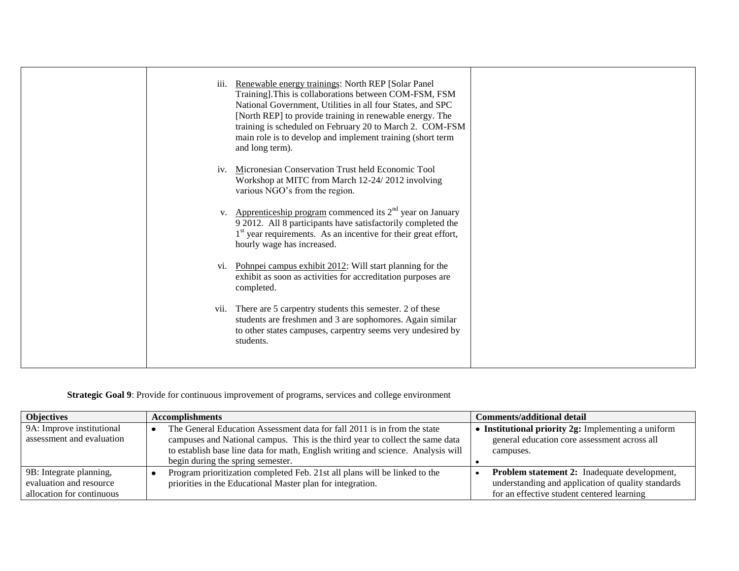| iii.           | Renewable energy trainings: North REP [Solar Panel]<br>Training]. This is collaborations between COM-FSM, FSM<br>National Government, Utilities in all four States, and SPC<br>[North REP] to provide training in renewable energy. The<br>training is scheduled on February 20 to March 2. COM-FSM<br>main role is to develop and implement training (short term<br>and long term). |  |
|----------------|--------------------------------------------------------------------------------------------------------------------------------------------------------------------------------------------------------------------------------------------------------------------------------------------------------------------------------------------------------------------------------------|--|
| iv.            | Micronesian Conservation Trust held Economic Tool<br>Workshop at MITC from March 12-24/2012 involving<br>various NGO's from the region.                                                                                                                                                                                                                                              |  |
| V <sub>1</sub> | Apprenticeship program commenced its $2nd$ year on January<br>9 2012. All 8 participants have satisfactorily completed the<br>1 <sup>st</sup> year requirements. As an incentive for their great effort,<br>hourly wage has increased.                                                                                                                                               |  |
| V1.            | Pohnpei campus exhibit 2012: Will start planning for the<br>exhibit as soon as activities for accreditation purposes are<br>completed.                                                                                                                                                                                                                                               |  |
|                | vii. There are 5 carpentry students this semester. 2 of these<br>students are freshmen and 3 are sophomores. Again similar<br>to other states campuses, carpentry seems very undesired by<br>students.                                                                                                                                                                               |  |

# **Strategic Goal 9**: Provide for continuous improvement of programs, services and college environment

| <b>Objectives</b>                                      | <b>Accomplishments</b>                                                                                                                                                                                                                                                             | Comments/additional detail                                                                                            |
|--------------------------------------------------------|------------------------------------------------------------------------------------------------------------------------------------------------------------------------------------------------------------------------------------------------------------------------------------|-----------------------------------------------------------------------------------------------------------------------|
| 9A: Improve institutional<br>assessment and evaluation | The General Education Assessment data for fall 2011 is in from the state<br>campuses and National campus. This is the third year to collect the same data<br>to establish base line data for math, English writing and science. Analysis will<br>begin during the spring semester. | <b>Institutional priority 2g:</b> Implementing a uniform<br>general education core assessment across all<br>campuses. |
| 9B: Integrate planning,                                | Program prioritization completed Feb. 21st all plans will be linked to the                                                                                                                                                                                                         | <b>Problem statement 2:</b> Inadequate development,                                                                   |
| evaluation and resource                                | priorities in the Educational Master plan for integration.                                                                                                                                                                                                                         | understanding and application of quality standards                                                                    |
| allocation for continuous                              |                                                                                                                                                                                                                                                                                    | for an effective student centered learning                                                                            |